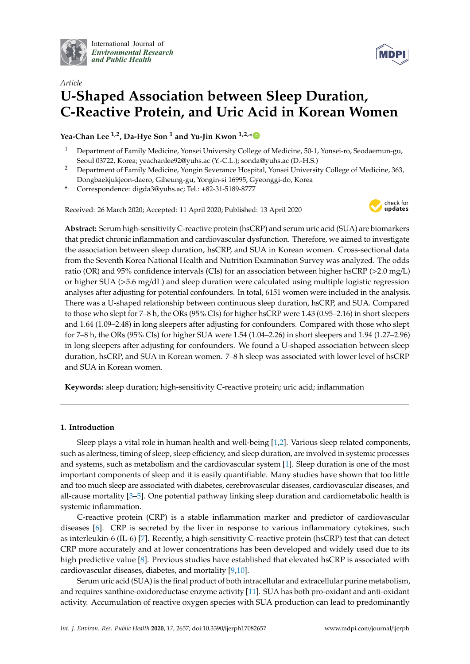

International Journal of *[Environmental Research](http://www.mdpi.com/journal/ijerph) and Public Health*



# *Article* **U-Shaped Association between Sleep Duration, C-Reactive Protein, and Uric Acid in Korean Women**

**Yea-Chan Lee 1,2, Da-Hye Son <sup>1</sup> and Yu-Jin Kwon 1,2,[\\*](https://orcid.org/0000-0002-9021-3856)**

- <sup>1</sup> Department of Family Medicine, Yonsei University College of Medicine, 50-1, Yonsei-ro, Seodaemun-gu, Seoul 03722, Korea; yeachanlee92@yuhs.ac (Y.-C.L.); sonda@yuhs.ac (D.-H.S.)
- <sup>2</sup> Department of Family Medicine, Yongin Severance Hospital, Yonsei University College of Medicine, 363, Dongbaekjukjeon-daero, Giheung-gu, Yongin-si 16995, Gyeonggi-do, Korea
- **\*** Correspondence: digda3@yuhs.ac; Tel.: +82-31-5189-8777

Received: 26 March 2020; Accepted: 11 April 2020; Published: 13 April 2020



**Abstract:** Serum high-sensitivity C-reactive protein (hsCRP) and serum uric acid (SUA) are biomarkers that predict chronic inflammation and cardiovascular dysfunction. Therefore, we aimed to investigate the association between sleep duration, hsCRP, and SUA in Korean women. Cross-sectional data from the Seventh Korea National Health and Nutrition Examination Survey was analyzed. The odds ratio (OR) and 95% confidence intervals (CIs) for an association between higher hsCRP (>2.0 mg/L) or higher SUA (>5.6 mg/dL) and sleep duration were calculated using multiple logistic regression analyses after adjusting for potential confounders. In total, 6151 women were included in the analysis. There was a U-shaped relationship between continuous sleep duration, hsCRP, and SUA. Compared to those who slept for 7–8 h, the ORs (95% CIs) for higher hsCRP were 1.43 (0.95–2.16) in short sleepers and 1.64 (1.09–2.48) in long sleepers after adjusting for confounders. Compared with those who slept for 7–8 h, the ORs (95% CIs) for higher SUA were 1.54 (1.04–2.26) in short sleepers and 1.94 (1.27–2.96) in long sleepers after adjusting for confounders. We found a U-shaped association between sleep duration, hsCRP, and SUA in Korean women. 7–8 h sleep was associated with lower level of hsCRP and SUA in Korean women.

**Keywords:** sleep duration; high-sensitivity C-reactive protein; uric acid; inflammation

# **1. Introduction**

Sleep plays a vital role in human health and well-being [\[1](#page-8-0)[,2\]](#page-8-1). Various sleep related components, such as alertness, timing of sleep, sleep efficiency, and sleep duration, are involved in systemic processes and systems, such as metabolism and the cardiovascular system [\[1\]](#page-8-0). Sleep duration is one of the most important components of sleep and it is easily quantifiable. Many studies have shown that too little and too much sleep are associated with diabetes, cerebrovascular diseases, cardiovascular diseases, and all-cause mortality [\[3–](#page-8-2)[5\]](#page-8-3). One potential pathway linking sleep duration and cardiometabolic health is systemic inflammation.

C-reactive protein (CRP) is a stable inflammation marker and predictor of cardiovascular diseases [\[6\]](#page-8-4). CRP is secreted by the liver in response to various inflammatory cytokines, such as interleukin-6 (IL-6) [\[7\]](#page-8-5). Recently, a high-sensitivity C-reactive protein (hsCRP) test that can detect CRP more accurately and at lower concentrations has been developed and widely used due to its high predictive value [\[8\]](#page-8-6). Previous studies have established that elevated hsCRP is associated with cardiovascular diseases, diabetes, and mortality [\[9](#page-8-7)[,10\]](#page-8-8).

Serum uric acid (SUA) is the final product of both intracellular and extracellular purine metabolism, and requires xanthine-oxidoreductase enzyme activity [\[11\]](#page-8-9). SUA has both pro-oxidant and anti-oxidant activity. Accumulation of reactive oxygen species with SUA production can lead to predominantly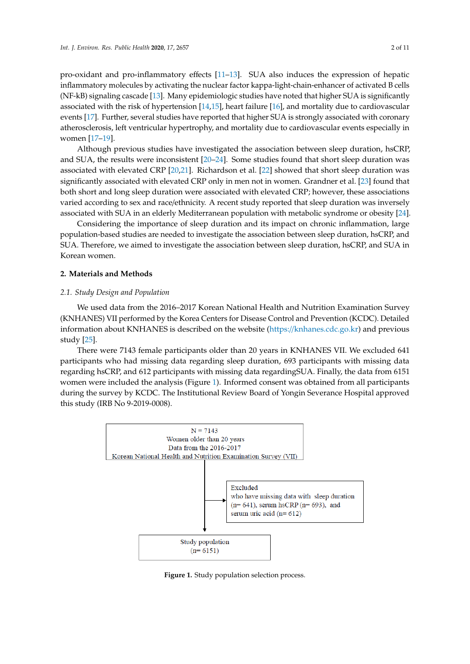pro-oxidant and pro-inflammatory effects [11-[13\]](#page-8-10). SUA also induces the expression of hepatic inflammatory molecules by activating the nuclear factor kappa-light-chain-enhancer of activated B cells (NF-kB) signaling cascade [\[13\]](#page-8-10). Many epidemiologic studies have noted that higher SUA is significantly associated with the risk of hypertension [\[14](#page-8-11)[,15\]](#page-8-12), heart failure [\[16\]](#page-8-13), and mortality due to cardiovascular events [\[17\]](#page-8-14). Further, several studies have reported that higher SUA is strongly associated with coronary atherosclerosis, left ventricular hypertrophy, and mortality due to cardiovascular events especially in women [\[17–](#page-8-14)[19\]](#page-8-15). Although previous studies have investigated the association between sleep duration between sleep duration, however, however,  $\frac{1}{2}$ 

Although previous studies have investigated the association between sleep duration, hsCRP, and SUA, the results were inconsistent  $[20-24]$  $[20-24]$ . Some studies found that short sleep duration was associated with elevated CRP [\[20](#page-8-16)[,21\]](#page-9-1). Richardson et al. [\[22\]](#page-9-2) showed that short sleep duration was significantly associated with elevated CRP only in men not in women. Grandner et al. [\[23\]](#page-9-3) found that both short and long sleep duration were associated with elevated CRP; however, these associations varied according to sex and race/ethnicity. A recent study reported that sleep duration was inversely associated with SUA in an elderly Mediterranean population with metabolic syndrome or obesity [\[24\]](#page-9-0). [24].

Considering the importance of sleep duration and its impact on chronic inflammation, large Considering the importance of sleep duration and its impact on chronic inflammation, large population-based studies are needed to investigate the association between sleep duration, hsCRP, and population-based studies are needed to investigate the association between sleep duration, hsCRP, SUA. Therefore, we aimed to investigate the association between sleep duration, hsCRP, and SUA in Korean women.

# **2. Materials and Methods 2. Materials and Methods**

## *2.1. Study Design and Population 2.1. Study Design and Population*

We used data from the 2016–2017 Korean National Health and Nutrition Examination Survey We used data from the 2016–2017 Korean National Health and Nutrition Examination Survey (KNHANES) VII performed by the Korea Centers for Disease Control and Prevention (KCDC). Detailed (KNHANES) VII performed by the Korea Centers for Disease Control and Prevention (KCDC). information about KNHANES is described on the [website \(https://knhanes.c](https://knhanes.cdc.go.kr)dc.go.kr) and previous study  $[25]$ .

There were 7143 female participants older than 20 years in KNHANES VII. We excluded 641 There were 7143 female participants older than 20 years in KNHANES VII. We excluded 641 participants who had missing data regarding sleep duration, 693 participants with missing data participants who had missing data regarding sleep duration, 693 participants with missing data regarding hsCRP, and 612 participants with missing data regardingSUA. Finally, the data from 6151 regarding hsCRP, and 612 participants with missing data regardingSUA. Finally, the data from 6151 women were included the analysis (Figure 1). Informed consent was obtained from all participants women were included the analysis (Figure [1\)](#page-1-0). Informed consent was obtained from all participants during the survey by KCDC. The Institutional Review Board of Yongin Severance Hospital approved during the survey by KCDC. The Institutional Review Board of Yongin Severance Hospital approved this study (IRB No 9-2019-0008). this study (IRB No 9-2019-0008).

<span id="page-1-0"></span>

**Figure 1.** Study population selection process. **Figure 1.** Study population selection process.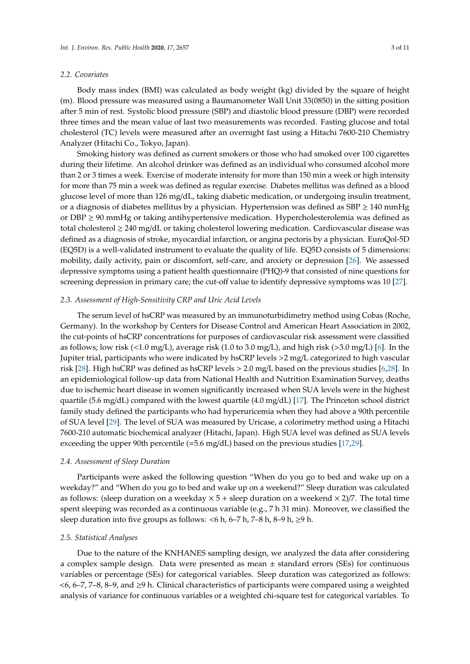## *2.2. Covariates*

Body mass index (BMI) was calculated as body weight (kg) divided by the square of height (m). Blood pressure was measured using a Baumanometer Wall Unit 33(0850) in the sitting position after 5 min of rest. Systolic blood pressure (SBP) and diastolic blood pressure (DBP) were recorded three times and the mean value of last two measurements was recorded. Fasting glucose and total cholesterol (TC) levels were measured after an overnight fast using a Hitachi 7600-210 Chemistry Analyzer (Hitachi Co., Tokyo, Japan).

Smoking history was defined as current smokers or those who had smoked over 100 cigarettes during their lifetime. An alcohol drinker was defined as an individual who consumed alcohol more than 2 or 3 times a week. Exercise of moderate intensity for more than 150 min a week or high intensity for more than 75 min a week was defined as regular exercise. Diabetes mellitus was defined as a blood glucose level of more than 126 mg/dL, taking diabetic medication, or undergoing insulin treatment, or a diagnosis of diabetes mellitus by a physician. Hypertension was defined as  $SBP \ge 140$  mmHg or DBP  $\geq$  90 mmHg or taking antihypertensive medication. Hypercholesterolemia was defined as total cholesterol ≥ 240 mg/dL or taking cholesterol lowering medication. Cardiovascular disease was defined as a diagnosis of stroke, myocardial infarction, or angina pectoris by a physician. EuroQol-5D (EQ5D) is a well-validated instrument to evaluate the quality of life. EQ5D consists of 5 dimensions: mobility, daily activity, pain or discomfort, self-care, and anxiety or depression [\[26\]](#page-9-5). We assessed depressive symptoms using a patient health questionnaire (PHQ)-9 that consisted of nine questions for screening depression in primary care; the cut-off value to identify depressive symptoms was 10 [\[27\]](#page-9-6).

#### *2.3. Assessment of High-Sensitivity CRP and Uric Acid Levels*

The serum level of hsCRP was measured by an immunoturbidimetry method using Cobas (Roche, Germany). In the workshop by Centers for Disease Control and American Heart Association in 2002, the cut-points of hsCRP concentrations for purposes of cardiovascular risk assessment were classified as follows; low risk (<1.0 mg/L), average risk (1.0 to 3.0 mg/L), and high risk (>3.0 mg/L) [\[6\]](#page-8-4). In the Jupiter trial, participants who were indicated by hsCRP levels >2 mg/L categorized to high vascular risk [\[28\]](#page-9-7). High hsCRP was defined as hsCRP levels > 2.0 mg/L based on the previous studies [\[6,](#page-8-4)[28\]](#page-9-7). In an epidemiological follow-up data from National Health and Nutrition Examination Survey, deaths due to ischemic heart disease in women significantly increased when SUA levels were in the highest quartile (5.6 mg/dL) compared with the lowest quartile (4.0 mg/dL) [\[17\]](#page-8-14). The Princeton school district family study defined the participants who had hyperuricemia when they had above a 90th percentile of SUA level [\[29\]](#page-9-8). The level of SUA was measured by Uricase, a colorimetry method using a Hitachi 7600-210 automatic biochemical analyzer (Hitachi, Japan). High SUA level was defined as SUA levels exceeding the upper 90th percentile (=5.6 mg/dL) based on the previous studies [\[17](#page-8-14)[,29\]](#page-9-8).

#### *2.4. Assessment of Sleep Duration*

Participants were asked the following question "When do you go to bed and wake up on a weekday?" and "When do you go to bed and wake up on a weekend?" Sleep duration was calculated as follows: (sleep duration on a weekday  $\times$  5 + sleep duration on a weekend  $\times$  2)/7. The total time spent sleeping was recorded as a continuous variable (e.g., 7 h 31 min). Moreover, we classified the sleep duration into five groups as follows:  $<$ 6 h, 6–7 h, 7–8 h, 8–9 h,  $\ge$ 9 h.

# *2.5. Statistical Analyses*

Due to the nature of the KNHANES sampling design, we analyzed the data after considering a complex sample design. Data were presented as mean  $\pm$  standard errors (SEs) for continuous variables or percentage (SEs) for categorical variables. Sleep duration was categorized as follows: <6, 6–7, 7–8, 8–9, and ≥9 h. Clinical characteristics of participants were compared using a weighted analysis of variance for continuous variables or a weighted chi-square test for categorical variables. To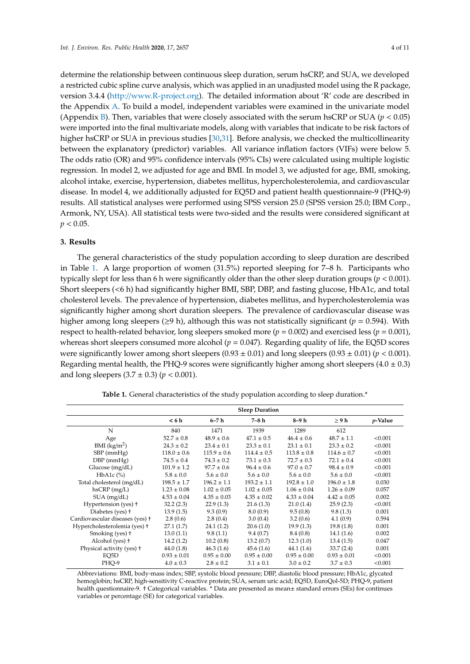determine the relationship between continuous sleep duration, serum hsCRP, and SUA, we developed a restricted cubic spline curve analysis, which was applied in an unadjusted model using the R package, version 3.4.4 (http://[www.R-project.org\)](http://www.R-project.org). The detailed information about 'R' code are described in the Appendix [A.](#page-7-0) To build a model, independent variables were examined in the univariate model (Appendix [B\)](#page-7-1). Then, variables that were closely associated with the serum hsCRP or SUA ( $p < 0.05$ ) were imported into the final multivariate models, along with variables that indicate to be risk factors of higher hsCRP or SUA in previous studies [\[30,](#page-9-9)[31\]](#page-9-10). Before analysis, we checked the multicollinearity between the explanatory (predictor) variables. All variance inflation factors (VIFs) were below 5. The odds ratio (OR) and 95% confidence intervals (95% CIs) were calculated using multiple logistic regression. In model 2, we adjusted for age and BMI. In model 3, we adjusted for age, BMI, smoking, alcohol intake, exercise, hypertension, diabetes mellitus, hypercholesterolemia, and cardiovascular disease. In model 4, we additionally adjusted for EQ5D and patient health questionnaire-9 (PHQ-9) results. All statistical analyses were performed using SPSS version 25.0 (SPSS version 25.0; IBM Corp., Armonk, NY, USA). All statistical tests were two-sided and the results were considered significant at  $p < 0.05$ .

#### **3. Results**

The general characteristics of the study population according to sleep duration are described in Table [1.](#page-3-0) A large proportion of women (31.5%) reported sleeping for 7–8 h. Participants who typically slept for less than 6 h were significantly older than the other sleep duration groups (*p* < 0.001). Short sleepers (<6 h) had significantly higher BMI, SBP, DBP, and fasting glucose, HbA1c, and total cholesterol levels. The prevalence of hypertension, diabetes mellitus, and hypercholesterolemia was significantly higher among short duration sleepers. The prevalence of cardiovascular disease was higher among long sleepers (≥9 h), although this was not statistically significant (*p* = 0.594). With respect to health-related behavior, long sleepers smoked more (*p* = 0.002) and exercised less (*p* = 0.001), whereas short sleepers consumed more alcohol  $(p = 0.047)$ . Regarding quality of life, the EQ5D scores were significantly lower among short sleepers  $(0.93 \pm 0.01)$  and long sleepers  $(0.93 \pm 0.01)$  ( $p < 0.001$ ). Regarding mental health, the PHQ-9 scores were significantly higher among short sleepers  $(4.0 \pm 0.3)$ and long sleepers  $(3.7 \pm 0.3)$  ( $p < 0.001$ ).

<span id="page-3-0"></span>

|                                 | <b>Sleep Duration</b> |                 |                 |                 |                 |                 |
|---------------------------------|-----------------------|-----------------|-----------------|-----------------|-----------------|-----------------|
|                                 | < 6 h                 | 6–7 h           | 7–8 h           | 8–9 h           | $\geq 9h$       | <i>p</i> -Value |
| N                               | 840                   | 1471            | 1939            | 1289            | 612             |                 |
| Age                             | $52.7 \pm 0.8$        | $48.9 \pm 0.6$  | $47.1 \pm 0.5$  | $46.4 \pm 0.6$  | $48.7 \pm 1.1$  | < 0.001         |
| $BMI$ (kg/m <sup>2</sup> )      | $24.3 \pm 0.2$        | $23.4 \pm 0.1$  | $23.3 \pm 0.1$  | $23.1 \pm 0.1$  | $23.3 \pm 0.2$  | < 0.001         |
| $SBP$ (mmHg)                    | $118.0 \pm 0.6$       | $115.9 \pm 0.6$ | $114.4 \pm 0.5$ | $113.8 \pm 0.8$ | $114.6 \pm 0.7$ | < 0.001         |
| $DBP$ (mmHg)                    | $74.5 \pm 0.4$        | $74.3 \pm 0.2$  | $73.1 \pm 0.3$  | $72.7 \pm 0.3$  | $72.1 \pm 0.4$  | < 0.001         |
| Glucose $(mg/dL)$               | $101.9 \pm 1.2$       | $97.7 \pm 0.6$  | $96.4 \pm 0.6$  | $97.0 \pm 0.7$  | $98.4 \pm 0.9$  | < 0.001         |
| HbA1c $(\%)$                    | $5.8 \pm 0.0$         | $5.6 \pm 0.0$   | $5.6 \pm 0.0$   | $5.6 \pm 0.0$   | $5.6 \pm 0.0$   | < 0.001         |
| Total cholesterol (mg/dL)       | $198.5 \pm 1.7$       | $196.2 \pm 1.1$ | $193.2 \pm 1.1$ | $192.8 \pm 1.0$ | $196.0 \pm 1.8$ | 0.030           |
| $h$ s $CRP$ (mg/L)              | $1.23 \pm 0.08$       | $1.02 \pm 0.05$ | $1.02 \pm 0.05$ | $1.06 \pm 0.04$ | $1.26 \pm 0.09$ | 0.057           |
| $SUA$ (mg/dL)                   | $4.53 \pm 0.04$       | $4.35 \pm 0.03$ | $4.35 \pm 0.02$ | $4.33 \pm 0.04$ | $4.42 \pm 0.05$ | 0.002           |
| Hypertension (yes) +            | 32.2(2.3)             | 22.9(1.3)       | 21.6(1.3)       | 21.0(1.4)       | 25.9(2.3)       | < 0.001         |
| Diabetes (yes) +                | 13.9(1.5)             | 9.3(0.9)        | 8.0(0.9)        | 9.5(0.8)        | 9.8(1.3)        | 0.001           |
| Cardiovascular diseases (yes) + | 2.8(0.6)              | 2.8(0.4)        | 3.0(0.4)        | 3.2(0.6)        | 4.1(0.9)        | 0.594           |
| Hypercholesterolemia (yes) +    | 27.1(1.7)             | 24.1(1.2)       | 20.6(1.0)       | 19.9(1.3)       | 19.8(1.8)       | 0.001           |
| Smoking (yes) +                 | 13.0(1.1)             | 9.8(1.1)        | 9.4(0.7)        | 8.4(0.8)        | 14.1(1.6)       | 0.002           |
| Alcohol (yes) +                 | 14.2(1.2)             | 10.2(0.8)       | 13.2(0.7)       | 12.3(1.0)       | 13.4(1.5)       | 0.047           |
| Physical activity (yes) +       | 44.0(1.8)             | 46.3(1.6)       | 45.6(1.6)       | 44.1 (1.6)      | 33.7(2.4)       | 0.001           |
| EQ5D                            | $0.93 \pm 0.01$       | $0.95 \pm 0.00$ | $0.95 \pm 0.00$ | $0.95 \pm 0.00$ | $0.93 \pm 0.01$ | < 0.001         |
| PHO-9                           | $4.0 \pm 0.3$         | $2.8 \pm 0.2$   | $3.1 \pm 0.1$   | $3.0 \pm 0.2$   | $3.7 \pm 0.3$   | < 0.001         |

Table 1. General characteristics of the study population according to sleep duration.<sup>\*</sup>

Abbreviations: BMI, body-mass index; SBP, systolic blood pressure; DBP, diastolic blood pressure; HbA1c, glycated hemoglobin; hsCRP, high-sensitivity C-reactive protein; SUA, serum uric acid; EQ5D, EuroQol-5D; PHQ-9, patient health questionnaire-9. † Categorical variables. \* Data are presented as mean± standard errors (SEs) for continues variables or percentage (SE) for categorical variables.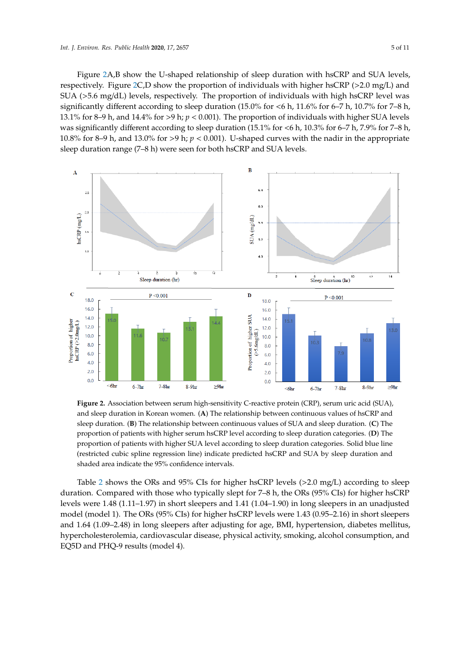Figure [2A](#page-4-0),B show the U-shaped relationship of sleep duration with hsCRP and SUA levels, respectively. Figure [2C](#page-4-0),D show the proportion of individuals with higher hsCRP (>2.0 mg/L) and SUA (>5.6 mg/dL) levels, respectively. The proportion of individuals with high hsCRP level was significantly different according to sleep duration (15.0% for  $\lt6$  h, 11.6% for 6–7 h, 10.7% for 7–8 h, 13.1% for 8–9 h, and 14.4% for >9 h;  $p < 0.001$ ). The proportion of individuals with higher SUA levels was significantly different according to sleep duration (15.1% for <6 h, 10.3% for 6–7 h, 7.9% for 7–8 h, 10.8% for 8–9 h, and 13.0% for >9 h;  $p < 0.001$ ). U-shaped curves with the nadir in the appropriate sleep duration range (7–8 h) were seen for both hsCRP and SUA levels. sleep duration range (7–8 h) were seen for both hsCRP and SUA levels.

<span id="page-4-0"></span>

**Figure 2.** Association between serum high-sensitivity C-reactive protein (CRP), serum uric acid (SUA), **Figure 2.** Association between serum high-sensitivity C-reactive protein (CRP), serum uric acid (SUA), and sleep duration in Korean women. (**A**) The relationship between continuous values of hsCRP and and sleep duration in Korean women. (**A**) The relationship between continuous values of hsCRP and sleep duration. (**B**) The relationship between continuous values of SUA and sleep duration. (**C**) The sleep duration. (**B**) The relationship between continuous values of SUA and sleep duration. (**C**) The proportion of patients with higher serum hsCRP level according to sleep duration categories. (**D**) The proportion of patients with higher serum hsCRP level according to sleep duration categories. (**D**) The proportion of patients with higher SUA level according to sleep duration categories*.* Solid blue line proportion of patients with higher SUA level according to sleep duration categories. Solid blue line (restricted cubic spline regression line) indicate predicted hsCRP and SUA by sleep duration and (restricted cubic spline regression line) indicate predicted hsCRP and SUA by sleep duration and shaded area indicate the 95% confidence intervals. shaded area indicate the 95% confidence intervals.

Table [2](#page-5-0) shows the ORs and 95% CIs for higher hsCRP levels (>2.0 mg/L) according to sleep duration. Compared with those who typically slept for 7–8 h, the ORs (95% CIs) for higher hsCRP duration. Compared with those who typically slept for 7–8 h, the ORs (95% CIs) for higher hsCRP levels were 1.48 (1.11–1.97) in short sleepers and 1.41 (1.04–1.90) in long sleepers in an unadjusted levels were 1.48 (1.11–1.97) in short sleepers and 1.41 (1.04–1.90) in long sleepers in an unadjusted model (model 1). The ORs (95% CIs) for higher hsCRP levels were 1.43 (0.95–2.16) in short sleepers model (model 1). The ORs (95% CIs) for higher hsCRP levels were 1.43 (0.95–2.16) in short sleepers and 1.64 (1.09–2.48) in long sleepers after adjusting for age, BMI, hypertension, diabetes mellitus, and 1.64 (1.09–2.48) in long sleepers after adjusting for age, BMI, hypertension, diabetes mellitus, hypercholesterolemia, cardiovascular disease, physical activity, smoking, alcohol consumption, and hypercholesterolemia, cardiovascular disease, physical activity, smoking, alcohol consumption, and EQ5D and PHQ-9 results (model 4). EQ5D and PHQ-9 results (model 4).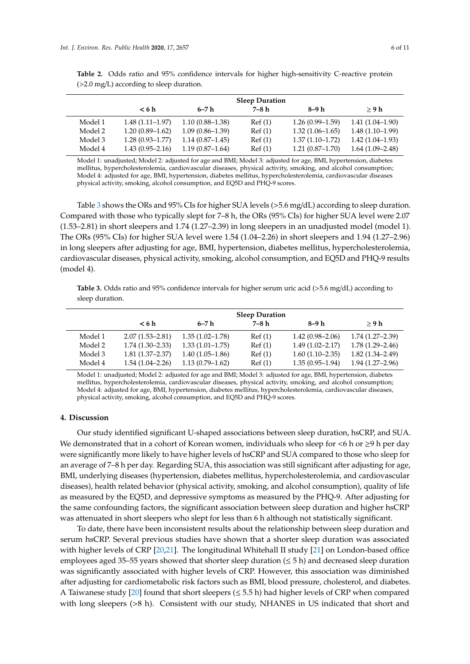|         | <b>Sleep Duration</b> |                     |        |                     |                     |  |
|---------|-----------------------|---------------------|--------|---------------------|---------------------|--|
|         | < 6 <sub>h</sub>      | 6–7 h               | 7–8 h  | 8–9 h               | > 9h                |  |
| Model 1 | $1.48(1.11-1.97)$     | $1.10(0.88 - 1.38)$ | Ref(1) | $1.26(0.99-1.59)$   | $1.41(1.04-1.90)$   |  |
| Model 2 | $1.20(0.89-1.62)$     | $1.09(0.86 - 1.39)$ | Ref(1) | $1.32(1.06 - 1.65)$ | $1.48(1.10-1.99)$   |  |
| Model 3 | $1.28(0.93 - 1.77)$   | $1.14(0.87-1.45)$   | Ref(1) | $1.37(1.10-1.72)$   | $1.42(1.04-1.93)$   |  |
| Model 4 | $1.43(0.95 - 2.16)$   | $1.19(0.87-1.64)$   | Ref(1) | $1.21(0.87-1.70)$   | $1.64(1.09 - 2.48)$ |  |

<span id="page-5-0"></span>**Table 2.** Odds ratio and 95% confidence intervals for higher high-sensitivity C-reactive protein (>2.0 mg/L) according to sleep duration.

Model 1: unadjusted; Model 2: adjusted for age and BMI; Model 3: adjusted for age, BMI, hypertension, diabetes mellitus, hypercholesterolemia, cardiovascular diseases, physical activity, smoking, and alcohol consumption; Model 4: adjusted for age, BMI, hypertension, diabetes mellitus, hypercholesterolemia, cardiovascular diseases physical activity, smoking, alcohol consumption, and EQ5D and PHQ-9 scores.

Table [3](#page-5-1) shows the ORs and 95% CIs for higher SUA levels (>5.6 mg/dL) according to sleep duration. Compared with those who typically slept for 7–8 h, the ORs (95% CIs) for higher SUA level were 2.07 (1.53–2.81) in short sleepers and 1.74 (1.27–2.39) in long sleepers in an unadjusted model (model 1). The ORs (95% CIs) for higher SUA level were 1.54 (1.04–2.26) in short sleepers and 1.94 (1.27–2.96) in long sleepers after adjusting for age, BMI, hypertension, diabetes mellitus, hypercholesterolemia, cardiovascular diseases, physical activity, smoking, alcohol consumption, and EQ5D and PHQ-9 results (model 4).

<span id="page-5-1"></span>**Table 3.** Odds ratio and 95% confidence intervals for higher serum uric acid (>5.6 mg/dL) according to sleep duration.

|         | <b>Sleep Duration</b> |                     |        |                     |                     |  |
|---------|-----------------------|---------------------|--------|---------------------|---------------------|--|
|         | < 6 <sub>h</sub>      | 6–7 h               | 7–8 h  | 8–9 h               | > 9 h               |  |
| Model 1 | $2.07(1.53 - 2.81)$   | $1.35(1.02 - 1.78)$ | Ref(1) | $1.42(0.98 - 2.06)$ | $1.74(1.27 - 2.39)$ |  |
| Model 2 | $1.74(1.30-2.33)$     | $1.33(1.01-1.75)$   | Ref(1) | $1.49(1.02 - 2.17)$ | $1.78(1.29 - 2.46)$ |  |
| Model 3 | $1.81(1.37-2.37)$     | $1.40(1.05-1.86)$   | Ref(1) | $1.60(1.10-2.35)$   | $1.82(1.34 - 2.49)$ |  |
| Model 4 | $1.54(1.04-2.26)$     | $1.13(0.79 - 1.62)$ | Ref(1) | $1.35(0.95-1.94)$   | $1.94(1.27-2.96)$   |  |

Model 1: unadjusted; Model 2: adjusted for age and BMI; Model 3: adjusted for age, BMI, hypertension, diabetes mellitus, hypercholesterolemia, cardiovascular diseases, physical activity, smoking, and alcohol consumption; Model 4: adjusted for age, BMI, hypertension, diabetes mellitus, hypercholesterolemia, cardiovascular diseases, physical activity, smoking, alcohol consumption, and EQ5D and PHQ-9 scores.

## **4. Discussion**

Our study identified significant U-shaped associations between sleep duration, hsCRP, and SUA. We demonstrated that in a cohort of Korean women, individuals who sleep for  $\lt$ 6 h or  $\geq$ 9 h per day were significantly more likely to have higher levels of hsCRP and SUA compared to those who sleep for an average of 7–8 h per day. Regarding SUA, this association was still significant after adjusting for age, BMI, underlying diseases (hypertension, diabetes mellitus, hypercholesterolemia, and cardiovascular diseases), health related behavior (physical activity, smoking, and alcohol consumption), quality of life as measured by the EQ5D, and depressive symptoms as measured by the PHQ-9. After adjusting for the same confounding factors, the significant association between sleep duration and higher hsCRP was attenuated in short sleepers who slept for less than 6 h although not statistically significant.

To date, there have been inconsistent results about the relationship between sleep duration and serum hsCRP. Several previous studies have shown that a shorter sleep duration was associated with higher levels of CRP [\[20](#page-8-16)[,21\]](#page-9-1). The longitudinal Whitehall II study [\[21\]](#page-9-1) on London-based office employees aged 35–55 years showed that shorter sleep duration ( $\leq$  5 h) and decreased sleep duration was significantly associated with higher levels of CRP. However, this association was diminished after adjusting for cardiometabolic risk factors such as BMI, blood pressure, cholesterol, and diabetes. A Taiwanese study [\[20\]](#page-8-16) found that short sleepers ( $\leq$  5.5 h) had higher levels of CRP when compared with long sleepers (>8 h). Consistent with our study, NHANES in US indicated that short and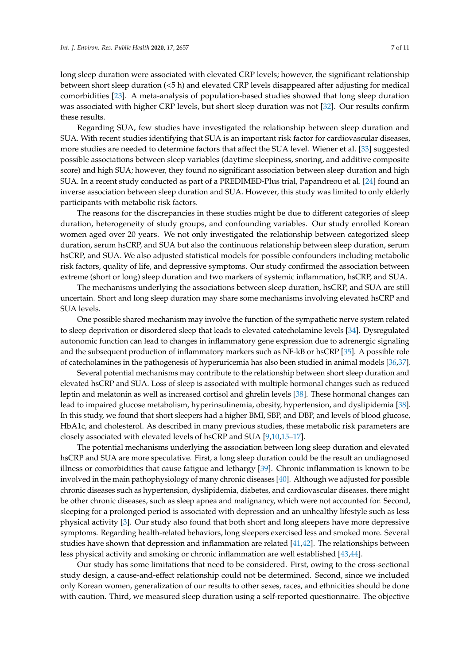long sleep duration were associated with elevated CRP levels; however, the significant relationship between short sleep duration (<5 h) and elevated CRP levels disappeared after adjusting for medical comorbidities [\[23\]](#page-9-3). A meta-analysis of population-based studies showed that long sleep duration was associated with higher CRP levels, but short sleep duration was not [\[32\]](#page-9-11). Our results confirm these results.

Regarding SUA, few studies have investigated the relationship between sleep duration and SUA. With recent studies identifying that SUA is an important risk factor for cardiovascular diseases, more studies are needed to determine factors that affect the SUA level. Wiener et al. [\[33\]](#page-9-12) suggested possible associations between sleep variables (daytime sleepiness, snoring, and additive composite score) and high SUA; however, they found no significant association between sleep duration and high SUA. In a recent study conducted as part of a PREDIMED-Plus trial, Papandreou et al. [\[24\]](#page-9-0) found an inverse association between sleep duration and SUA. However, this study was limited to only elderly participants with metabolic risk factors.

The reasons for the discrepancies in these studies might be due to different categories of sleep duration, heterogeneity of study groups, and confounding variables. Our study enrolled Korean women aged over 20 years. We not only investigated the relationship between categorized sleep duration, serum hsCRP, and SUA but also the continuous relationship between sleep duration, serum hsCRP, and SUA. We also adjusted statistical models for possible confounders including metabolic risk factors, quality of life, and depressive symptoms. Our study confirmed the association between extreme (short or long) sleep duration and two markers of systemic inflammation, hsCRP, and SUA.

The mechanisms underlying the associations between sleep duration, hsCRP, and SUA are still uncertain. Short and long sleep duration may share some mechanisms involving elevated hsCRP and SUA levels.

One possible shared mechanism may involve the function of the sympathetic nerve system related to sleep deprivation or disordered sleep that leads to elevated catecholamine levels [\[34\]](#page-9-13). Dysregulated autonomic function can lead to changes in inflammatory gene expression due to adrenergic signaling and the subsequent production of inflammatory markers such as NF-kB or hsCRP [\[35\]](#page-9-14). A possible role of catecholamines in the pathogenesis of hyperuricemia has also been studied in animal models [\[36](#page-9-15)[,37\]](#page-9-16).

Several potential mechanisms may contribute to the relationship between short sleep duration and elevated hsCRP and SUA. Loss of sleep is associated with multiple hormonal changes such as reduced leptin and melatonin as well as increased cortisol and ghrelin levels [\[38\]](#page-9-17). These hormonal changes can lead to impaired glucose metabolism, hyperinsulinemia, obesity, hypertension, and dyslipidemia [\[38\]](#page-9-17). In this study, we found that short sleepers had a higher BMI, SBP, and DBP, and levels of blood glucose, HbA1c, and cholesterol. As described in many previous studies, these metabolic risk parameters are closely associated with elevated levels of hsCRP and SUA [\[9](#page-8-7)[,10](#page-8-8)[,15](#page-8-12)[–17\]](#page-8-14).

The potential mechanisms underlying the association between long sleep duration and elevated hsCRP and SUA are more speculative. First, a long sleep duration could be the result an undiagnosed illness or comorbidities that cause fatigue and lethargy [\[39\]](#page-9-18). Chronic inflammation is known to be involved in the main pathophysiology of many chronic diseases [\[40\]](#page-9-19). Although we adjusted for possible chronic diseases such as hypertension, dyslipidemia, diabetes, and cardiovascular diseases, there might be other chronic diseases, such as sleep apnea and malignancy, which were not accounted for. Second, sleeping for a prolonged period is associated with depression and an unhealthy lifestyle such as less physical activity [\[3\]](#page-8-2). Our study also found that both short and long sleepers have more depressive symptoms. Regarding health-related behaviors, long sleepers exercised less and smoked more. Several studies have shown that depression and inflammation are related [\[41](#page-10-0)[,42\]](#page-10-1). The relationships between less physical activity and smoking or chronic inflammation are well established [\[43](#page-10-2)[,44\]](#page-10-3).

Our study has some limitations that need to be considered. First, owing to the cross-sectional study design, a cause-and-effect relationship could not be determined. Second, since we included only Korean women, generalization of our results to other sexes, races, and ethnicities should be done with caution. Third, we measured sleep duration using a self-reported questionnaire. The objective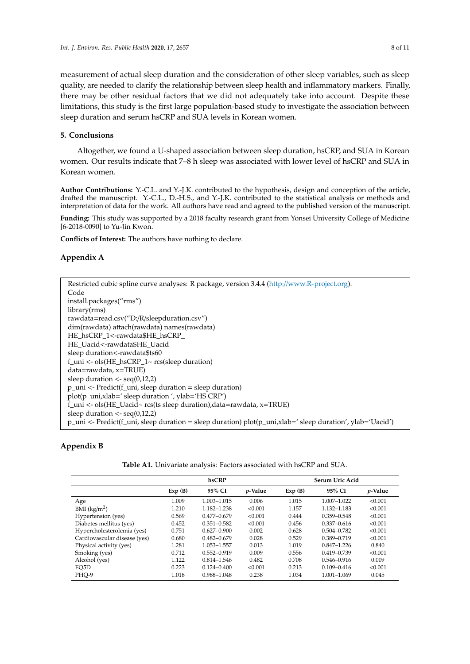measurement of actual sleep duration and the consideration of other sleep variables, such as sleep quality, are needed to clarify the relationship between sleep health and inflammatory markers. Finally, there may be other residual factors that we did not adequately take into account. Despite these limitations, this study is the first large population-based study to investigate the association between sleep duration and serum hsCRP and SUA levels in Korean women.

# **5. Conclusions**

Altogether, we found a U-shaped association between sleep duration, hsCRP, and SUA in Korean women. Our results indicate that 7–8 h sleep was associated with lower level of hsCRP and SUA in Korean women.

**Author Contributions:** Y.-C.L. and Y.-J.K. contributed to the hypothesis, design and conception of the article, drafted the manuscript. Y.-C.L., D.-H.S., and Y.-J.K. contributed to the statistical analysis or methods and interpretation of data for the work. All authors have read and agreed to the published version of the manuscript.

**Funding:** This study was supported by a 2018 faculty research grant from Yonsei University College of Medicine [6-2018-0090] to Yu-Jin Kwon.

**Conflicts of Interest:** The authors have nothing to declare.

#### <span id="page-7-0"></span>**Appendix A**

| Restricted cubic spline curve analyses: R package, version 3.4.4 (http://www.R-project.org).                                      |
|-----------------------------------------------------------------------------------------------------------------------------------|
| Code                                                                                                                              |
| install.packages("rms")                                                                                                           |
| library(rms)                                                                                                                      |
| rawdata=read.csv("D:/R/sleepduration.csv")                                                                                        |
| dim(rawdata) attach(rawdata) names(rawdata)                                                                                       |
| HE_hsCRP_1<-rawdata\$HE_hsCRP_                                                                                                    |
| HE Uacid<-rawdata\$HE Uacid                                                                                                       |
| sleep duration <- rawdata\$ts60                                                                                                   |
| f_uni <- $ols(HE_hsCRP_1~rcs(sleep duration))$                                                                                    |
| $data = raw data, x = TRUE$                                                                                                       |
| sleep duration $\langle$ seq(0,12,2)                                                                                              |
| $p_{\text{un}}$ <- Predict(f_uni, sleep duration = sleep duration)                                                                |
| $plot(p\_uni,xlab='sleep duration', ylab='HSCRP')$                                                                                |
| f_uni <- ols(HE_Uacid~ $rcs$ (ts sleep duration), data=rawdata, x=TRUE)                                                           |
| sleep duration $\langle$ - seg(0,12,2)                                                                                            |
| $p_{\text{un}}$ <- Predict(f_uni, sleep duration = sleep duration) plot( $p_{\text{un}}$ i, xlab=' sleep duration', ylab='Uacid') |

# <span id="page-7-1"></span>**Appendix B**

| <b>Table A1.</b> Univariate analysis: Factors associated with hsCRP and SUA. |
|------------------------------------------------------------------------------|
|------------------------------------------------------------------------------|

|                              | hsCRP  |                 |                 | Serum Uric Acid |                 |            |  |
|------------------------------|--------|-----------------|-----------------|-----------------|-----------------|------------|--|
|                              | Exp(B) | 95% CI          | <i>p</i> -Value | Exp(B)          | 95% CI          | $p$ -Value |  |
| Age                          | 1.009  | 1.003-1.015     | 0.006           | 1.015           | 1.007-1.022     | < 0.001    |  |
| BMI $(kg/m2)$                | 1.210  | 1.182-1.238     | < 0.001         | 1.157           | 1.132-1.183     | < 0.001    |  |
| Hypertension (yes)           | 0.569  | $0.477 - 0.679$ | < 0.001         | 0.444           | $0.359 - 0.548$ | < 0.001    |  |
| Diabetes mellitus (yes)      | 0.452  | $0.351 - 0.582$ | < 0.001         | 0.456           | $0.337 - 0.616$ | < 0.001    |  |
| Hypercholesterolemia (yes)   | 0.751  | $0.627 - 0.900$ | 0.002           | 0.628           | $0.504 - 0.782$ | < 0.001    |  |
| Cardiovascular disease (yes) | 0.680  | $0.482 - 0.679$ | 0.028           | 0.529           | $0.389 - 0.719$ | < 0.001    |  |
| Physical activity (yes)      | 1.281  | 1.053-1.557     | 0.013           | 1.019           | $0.847 - 1.226$ | 0.840      |  |
| Smoking (yes)                | 0.712  | $0.552 - 0.919$ | 0.009           | 0.556           | $0.419 - 0.739$ | < 0.001    |  |
| Alcohol (yes)                | 1.122  | $0.814 - 1.546$ | 0.482           | 0.708           | $0.546 - 0.916$ | 0.009      |  |
| EO5D                         | 0.223  | $0.124 - 0.400$ | < 0.001         | 0.213           | $0.109 - 0.416$ | < 0.001    |  |
| PHO-9                        | 1.018  | 0.988-1.048     | 0.238           | 1.034           | 1.001-1.069     | 0.045      |  |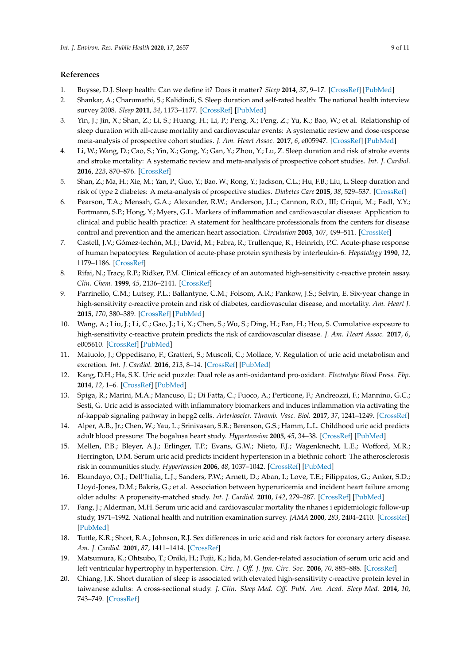# **References**

- <span id="page-8-0"></span>1. Buysse, D.J. Sleep health: Can we define it? Does it matter? *Sleep* **2014**, *37*, 9–17. [\[CrossRef\]](http://dx.doi.org/10.5665/sleep.3298) [\[PubMed\]](http://www.ncbi.nlm.nih.gov/pubmed/24470692)
- <span id="page-8-1"></span>2. Shankar, A.; Charumathi, S.; Kalidindi, S. Sleep duration and self-rated health: The national health interview survey 2008. *Sleep* **2011**, *34*, 1173–1177. [\[CrossRef\]](http://dx.doi.org/10.5665/SLEEP.1232) [\[PubMed\]](http://www.ncbi.nlm.nih.gov/pubmed/21886354)
- <span id="page-8-2"></span>3. Yin, J.; Jin, X.; Shan, Z.; Li, S.; Huang, H.; Li, P.; Peng, X.; Peng, Z.; Yu, K.; Bao, W.; et al. Relationship of sleep duration with all-cause mortality and cardiovascular events: A systematic review and dose-response meta-analysis of prospective cohort studies. *J. Am. Heart Assoc.* **2017**, *6*, e005947. [\[CrossRef\]](http://dx.doi.org/10.1161/JAHA.117.005947) [\[PubMed\]](http://www.ncbi.nlm.nih.gov/pubmed/28889101)
- 4. Li, W.; Wang, D.; Cao, S.; Yin, X.; Gong, Y.; Gan, Y.; Zhou, Y.; Lu, Z. Sleep duration and risk of stroke events and stroke mortality: A systematic review and meta-analysis of prospective cohort studies. *Int. J. Cardiol.* **2016**, *223*, 870–876. [\[CrossRef\]](http://dx.doi.org/10.1016/j.ijcard.2016.08.302)
- <span id="page-8-3"></span>5. Shan, Z.; Ma, H.; Xie, M.; Yan, P.; Guo, Y.; Bao, W.; Rong, Y.; Jackson, C.L.; Hu, F.B.; Liu, L. Sleep duration and risk of type 2 diabetes: A meta-analysis of prospective studies. *Diabetes Care* **2015**, *38*, 529–537. [\[CrossRef\]](http://dx.doi.org/10.2337/dc14-2073)
- <span id="page-8-4"></span>6. Pearson, T.A.; Mensah, G.A.; Alexander, R.W.; Anderson, J.L.; Cannon, R.O., III; Criqui, M.; Fadl, Y.Y.; Fortmann, S.P.; Hong, Y.; Myers, G.L. Markers of inflammation and cardiovascular disease: Application to clinical and public health practice: A statement for healthcare professionals from the centers for disease control and prevention and the american heart association. *Circulation* **2003**, *107*, 499–511. [\[CrossRef\]](http://dx.doi.org/10.1161/01.CIR.0000052939.59093.45)
- <span id="page-8-5"></span>7. Castell, J.V.; Gómez-lechón, M.J.; David, M.; Fabra, R.; Trullenque, R.; Heinrich, P.C. Acute-phase response of human hepatocytes: Regulation of acute-phase protein synthesis by interleukin-6. *Hepatology* **1990**, *12*, 1179–1186. [\[CrossRef\]](http://dx.doi.org/10.1002/hep.1840120517)
- <span id="page-8-6"></span>8. Rifai, N.; Tracy, R.P.; Ridker, P.M. Clinical efficacy of an automated high-sensitivity c-reactive protein assay. *Clin. Chem.* **1999**, *45*, 2136–2141. [\[CrossRef\]](http://dx.doi.org/10.1093/clinchem/45.12.2136)
- <span id="page-8-7"></span>9. Parrinello, C.M.; Lutsey, P.L.; Ballantyne, C.M.; Folsom, A.R.; Pankow, J.S.; Selvin, E. Six-year change in high-sensitivity c-reactive protein and risk of diabetes, cardiovascular disease, and mortality. *Am. Heart J.* **2015**, *170*, 380–389. [\[CrossRef\]](http://dx.doi.org/10.1016/j.ahj.2015.04.017) [\[PubMed\]](http://www.ncbi.nlm.nih.gov/pubmed/26299237)
- <span id="page-8-8"></span>10. Wang, A.; Liu, J.; Li, C.; Gao, J.; Li, X.; Chen, S.; Wu, S.; Ding, H.; Fan, H.; Hou, S. Cumulative exposure to high-sensitivity c-reactive protein predicts the risk of cardiovascular disease. *J. Am. Heart Assoc.* **2017**, *6*, e005610. [\[CrossRef\]](http://dx.doi.org/10.1161/JAHA.117.005610) [\[PubMed\]](http://www.ncbi.nlm.nih.gov/pubmed/29066453)
- <span id="page-8-9"></span>11. Maiuolo, J.; Oppedisano, F.; Gratteri, S.; Muscoli, C.; Mollace, V. Regulation of uric acid metabolism and excretion. *Int. J. Cardiol.* **2016**, *213*, 8–14. [\[CrossRef\]](http://dx.doi.org/10.1016/j.ijcard.2015.08.109) [\[PubMed\]](http://www.ncbi.nlm.nih.gov/pubmed/26316329)
- 12. Kang, D.H.; Ha, S.K. Uric acid puzzle: Dual role as anti-oxidantand pro-oxidant. *Electrolyte Blood Press. Ebp.* **2014**, *12*, 1–6. [\[CrossRef\]](http://dx.doi.org/10.5049/EBP.2014.12.1.1) [\[PubMed\]](http://www.ncbi.nlm.nih.gov/pubmed/25061467)
- <span id="page-8-10"></span>13. Spiga, R.; Marini, M.A.; Mancuso, E.; Di Fatta, C.; Fuoco, A.; Perticone, F.; Andreozzi, F.; Mannino, G.C.; Sesti, G. Uric acid is associated with inflammatory biomarkers and induces inflammation via activating the nf-kappab signaling pathway in hepg2 cells. *Arterioscler. Thromb. Vasc. Biol.* **2017**, *37*, 1241–1249. [\[CrossRef\]](http://dx.doi.org/10.1161/ATVBAHA.117.309128)
- <span id="page-8-11"></span>14. Alper, A.B., Jr.; Chen, W.; Yau, L.; Srinivasan, S.R.; Berenson, G.S.; Hamm, L.L. Childhood uric acid predicts adult blood pressure: The bogalusa heart study. *Hypertension* **2005**, *45*, 34–38. [\[CrossRef\]](http://dx.doi.org/10.1161/01.HYP.0000150783.79172.bb) [\[PubMed\]](http://www.ncbi.nlm.nih.gov/pubmed/15569853)
- <span id="page-8-12"></span>15. Mellen, P.B.; Bleyer, A.J.; Erlinger, T.P.; Evans, G.W.; Nieto, F.J.; Wagenknecht, L.E.; Wofford, M.R.; Herrington, D.M. Serum uric acid predicts incident hypertension in a biethnic cohort: The atherosclerosis risk in communities study. *Hypertension* **2006**, *48*, 1037–1042. [\[CrossRef\]](http://dx.doi.org/10.1161/01.HYP.0000249768.26560.66) [\[PubMed\]](http://www.ncbi.nlm.nih.gov/pubmed/17060502)
- <span id="page-8-13"></span>16. Ekundayo, O.J.; Dell'Italia, L.J.; Sanders, P.W.; Arnett, D.; Aban, I.; Love, T.E.; Filippatos, G.; Anker, S.D.; Lloyd-Jones, D.M.; Bakris, G.; et al. Association between hyperuricemia and incident heart failure among older adults: A propensity-matched study. *Int. J. Cardiol.* **2010**, *142*, 279–287. [\[CrossRef\]](http://dx.doi.org/10.1016/j.ijcard.2009.01.010) [\[PubMed\]](http://www.ncbi.nlm.nih.gov/pubmed/19201041)
- <span id="page-8-14"></span>17. Fang, J.; Alderman, M.H. Serum uric acid and cardiovascular mortality the nhanes i epidemiologic follow-up study, 1971–1992. National health and nutrition examination survey. *JAMA* **2000**, *283*, 2404–2410. [\[CrossRef\]](http://dx.doi.org/10.1001/jama.283.18.2404) [\[PubMed\]](http://www.ncbi.nlm.nih.gov/pubmed/10815083)
- 18. Tuttle, K.R.; Short, R.A.; Johnson, R.J. Sex differences in uric acid and risk factors for coronary artery disease. *Am. J. Cardiol.* **2001**, *87*, 1411–1414. [\[CrossRef\]](http://dx.doi.org/10.1016/S0002-9149(01)01566-1)
- <span id="page-8-15"></span>19. Matsumura, K.; Ohtsubo, T.; Oniki, H.; Fujii, K.; Iida, M. Gender-related association of serum uric acid and left ventricular hypertrophy in hypertension. *Circ. J. O*ff*. J. Jpn. Circ. Soc.* **2006**, *70*, 885–888. [\[CrossRef\]](http://dx.doi.org/10.1253/circj.70.885)
- <span id="page-8-16"></span>20. Chiang, J.K. Short duration of sleep is associated with elevated high-sensitivity c-reactive protein level in taiwanese adults: A cross-sectional study. *J. Clin. Sleep Med. O*ff*. Publ. Am. Acad. Sleep Med.* **2014**, *10*, 743–749. [\[CrossRef\]](http://dx.doi.org/10.5664/jcsm.3862)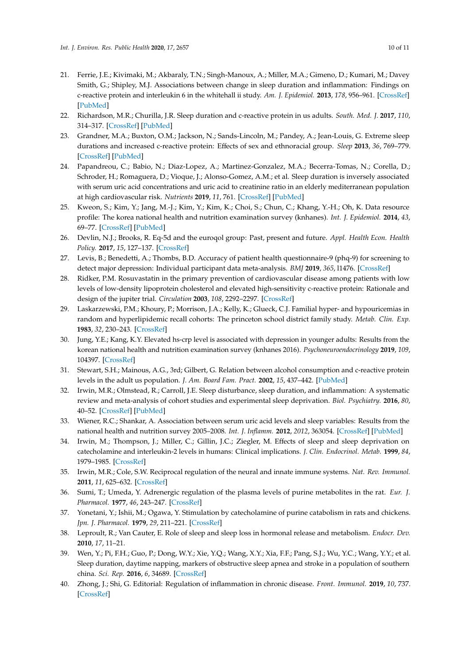- <span id="page-9-1"></span>21. Ferrie, J.E.; Kivimaki, M.; Akbaraly, T.N.; Singh-Manoux, A.; Miller, M.A.; Gimeno, D.; Kumari, M.; Davey Smith, G.; Shipley, M.J. Associations between change in sleep duration and inflammation: Findings on c-reactive protein and interleukin 6 in the whitehall ii study. *Am. J. Epidemiol.* **2013**, *178*, 956–961. [\[CrossRef\]](http://dx.doi.org/10.1093/aje/kwt072) [\[PubMed\]](http://www.ncbi.nlm.nih.gov/pubmed/23801012)
- <span id="page-9-2"></span>22. Richardson, M.R.; Churilla, J.R. Sleep duration and c-reactive protein in us adults. *South. Med. J.* **2017**, *110*, 314–317. [\[CrossRef\]](http://dx.doi.org/10.14423/SMJ.0000000000000632) [\[PubMed\]](http://www.ncbi.nlm.nih.gov/pubmed/28376532)
- <span id="page-9-3"></span>23. Grandner, M.A.; Buxton, O.M.; Jackson, N.; Sands-Lincoln, M.; Pandey, A.; Jean-Louis, G. Extreme sleep durations and increased c-reactive protein: Effects of sex and ethnoracial group. *Sleep* **2013**, *36*, 769–779. [\[CrossRef\]](http://dx.doi.org/10.5665/sleep.2646) [\[PubMed\]](http://www.ncbi.nlm.nih.gov/pubmed/23633760)
- <span id="page-9-0"></span>24. Papandreou, C.; Babio, N.; Diaz-Lopez, A.; Martinez-Gonzalez, M.A.; Becerra-Tomas, N.; Corella, D.; Schroder, H.; Romaguera, D.; Vioque, J.; Alonso-Gomez, A.M.; et al. Sleep duration is inversely associated with serum uric acid concentrations and uric acid to creatinine ratio in an elderly mediterranean population at high cardiovascular risk. *Nutrients* **2019**, *11*, 761. [\[CrossRef\]](http://dx.doi.org/10.3390/nu11040761) [\[PubMed\]](http://www.ncbi.nlm.nih.gov/pubmed/30939748)
- <span id="page-9-4"></span>25. Kweon, S.; Kim, Y.; Jang, M.-J.; Kim, Y.; Kim, K.; Choi, S.; Chun, C.; Khang, Y.-H.; Oh, K. Data resource profile: The korea national health and nutrition examination survey (knhanes). *Int. J. Epidemiol.* **2014**, *43*, 69–77. [\[CrossRef\]](http://dx.doi.org/10.1093/ije/dyt228) [\[PubMed\]](http://www.ncbi.nlm.nih.gov/pubmed/24585853)
- <span id="page-9-5"></span>26. Devlin, N.J.; Brooks, R. Eq-5d and the euroqol group: Past, present and future. *Appl. Health Econ. Health Policy.* **2017**, *15*, 127–137. [\[CrossRef\]](http://dx.doi.org/10.1007/s40258-017-0310-5)
- <span id="page-9-6"></span>27. Levis, B.; Benedetti, A.; Thombs, B.D. Accuracy of patient health questionnaire-9 (phq-9) for screening to detect major depression: Individual participant data meta-analysis. *BMJ* **2019**, *365*, l1476. [\[CrossRef\]](http://dx.doi.org/10.1136/bmj.l1476)
- <span id="page-9-7"></span>28. Ridker, P.M. Rosuvastatin in the primary prevention of cardiovascular disease among patients with low levels of low-density lipoprotein cholesterol and elevated high-sensitivity c-reactive protein: Rationale and design of the jupiter trial. *Circulation* **2003**, *108*, 2292–2297. [\[CrossRef\]](http://dx.doi.org/10.1161/01.CIR.0000100688.17280.E6)
- <span id="page-9-8"></span>29. Laskarzewski, P.M.; Khoury, P.; Morrison, J.A.; Kelly, K.; Glueck, C.J. Familial hyper- and hypouricemias in random and hyperlipidemic recall cohorts: The princeton school district family study. *Metab. Clin. Exp.* **1983**, *32*, 230–243. [\[CrossRef\]](http://dx.doi.org/10.1016/0026-0495(83)90187-7)
- <span id="page-9-9"></span>30. Jung, Y.E.; Kang, K.Y. Elevated hs-crp level is associated with depression in younger adults: Results from the korean national health and nutrition examination survey (knhanes 2016). *Psychoneuroendocrinology* **2019**, *109*, 104397. [\[CrossRef\]](http://dx.doi.org/10.1016/j.psyneuen.2019.104397)
- <span id="page-9-10"></span>31. Stewart, S.H.; Mainous, A.G., 3rd; Gilbert, G. Relation between alcohol consumption and c-reactive protein levels in the adult us population. *J. Am. Board Fam. Pract.* **2002**, *15*, 437–442. [\[PubMed\]](http://www.ncbi.nlm.nih.gov/pubmed/12463288)
- <span id="page-9-11"></span>32. Irwin, M.R.; Olmstead, R.; Carroll, J.E. Sleep disturbance, sleep duration, and inflammation: A systematic review and meta-analysis of cohort studies and experimental sleep deprivation. *Biol. Psychiatry.* **2016**, *80*, 40–52. [\[CrossRef\]](http://dx.doi.org/10.1016/j.biopsych.2015.05.014) [\[PubMed\]](http://www.ncbi.nlm.nih.gov/pubmed/26140821)
- <span id="page-9-12"></span>33. Wiener, R.C.; Shankar, A. Association between serum uric acid levels and sleep variables: Results from the national health and nutrition survey 2005–2008. *Int. J. Inflamm.* **2012**, *2012*, 363054. [\[CrossRef\]](http://dx.doi.org/10.1155/2012/363054) [\[PubMed\]](http://www.ncbi.nlm.nih.gov/pubmed/22970407)
- <span id="page-9-13"></span>34. Irwin, M.; Thompson, J.; Miller, C.; Gillin, J.C.; Ziegler, M. Effects of sleep and sleep deprivation on catecholamine and interleukin-2 levels in humans: Clinical implications. *J. Clin. Endocrinol. Metab.* **1999**, *84*, 1979–1985. [\[CrossRef\]](http://dx.doi.org/10.1210/jc.84.6.1979)
- <span id="page-9-14"></span>35. Irwin, M.R.; Cole, S.W. Reciprocal regulation of the neural and innate immune systems. *Nat. Rev. Immunol.* **2011**, *11*, 625–632. [\[CrossRef\]](http://dx.doi.org/10.1038/nri3042)
- <span id="page-9-15"></span>36. Sumi, T.; Umeda, Y. Adrenergic regulation of the plasma levels of purine metabolites in the rat. *Eur. J. Pharmacol.* **1977**, *46*, 243–247. [\[CrossRef\]](http://dx.doi.org/10.1016/0014-2999(77)90339-9)
- <span id="page-9-16"></span>37. Yonetani, Y.; Ishii, M.; Ogawa, Y. Stimulation by catecholamine of purine catabolism in rats and chickens. *Jpn. J. Pharmacol.* **1979**, *29*, 211–221. [\[CrossRef\]](http://dx.doi.org/10.1254/jjp.29.211)
- <span id="page-9-17"></span>38. Leproult, R.; Van Cauter, E. Role of sleep and sleep loss in hormonal release and metabolism. *Endocr. Dev.* **2010**, *17*, 11–21.
- <span id="page-9-18"></span>39. Wen, Y.; Pi, F.H.; Guo, P.; Dong, W.Y.; Xie, Y.Q.; Wang, X.Y.; Xia, F.F.; Pang, S.J.; Wu, Y.C.; Wang, Y.Y.; et al. Sleep duration, daytime napping, markers of obstructive sleep apnea and stroke in a population of southern china. *Sci. Rep.* **2016**, *6*, 34689. [\[CrossRef\]](http://dx.doi.org/10.1038/srep34689)
- <span id="page-9-19"></span>40. Zhong, J.; Shi, G. Editorial: Regulation of inflammation in chronic disease. *Front. Immunol.* **2019**, *10*, 737. [\[CrossRef\]](http://dx.doi.org/10.3389/fimmu.2019.00737)